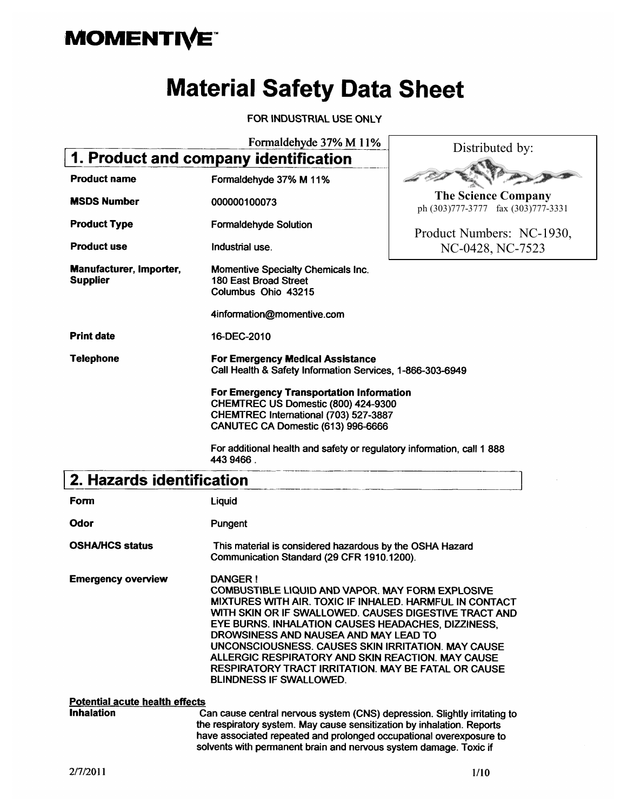# **MOMENTIVE**

# **Material Safety Data Sheet**

FOR INDUSTRIAL USE ONLY

Formaldehyde 37% M 11%

| 1. Product and company identification      |                                                                                                                                                                       |                                                                  |  |
|--------------------------------------------|-----------------------------------------------------------------------------------------------------------------------------------------------------------------------|------------------------------------------------------------------|--|
| <b>Product name</b>                        | Formaldehyde 37% M 11%                                                                                                                                                |                                                                  |  |
| <b>MSDS Number</b>                         | 000000100073                                                                                                                                                          | <b>The Science Company</b><br>ph (303)777-3777 fax (303)777-3331 |  |
| <b>Product Type</b>                        | <b>Formaldehyde Solution</b>                                                                                                                                          | Product Numbers: NC-1930,                                        |  |
| <b>Product use</b>                         | Industrial use.                                                                                                                                                       | NC-0428, NC-7523                                                 |  |
| Manufacturer, Importer,<br><b>Supplier</b> | <b>Momentive Specialty Chemicals Inc.</b><br>180 East Broad Street<br>Columbus Ohio 43215                                                                             |                                                                  |  |
|                                            | 4information@momentive.com                                                                                                                                            |                                                                  |  |
| <b>Print date</b>                          | 16-DEC-2010                                                                                                                                                           |                                                                  |  |
| <b>Telephone</b>                           | <b>For Emergency Medical Assistance</b><br>Call Health & Safety Information Services, 1-866-303-6949                                                                  |                                                                  |  |
|                                            | <b>For Emergency Transportation Information</b><br>CHEMTREC US Domestic (800) 424-9300<br>CHEMTREC International (703) 527-3887<br>CANUTEC CA Domestic (613) 996-6666 |                                                                  |  |
|                                            | For additional health and safety or regulatory information, call 1 888<br>443 9466.                                                                                   |                                                                  |  |
| 2. Hazards identification                  |                                                                                                                                                                       |                                                                  |  |
| Form                                       | Liquid                                                                                                                                                                |                                                                  |  |
| Odor                                       | Pungent                                                                                                                                                               |                                                                  |  |

**OSHA/HCS status** This material is considered hazardous by the OSHA Hazard Communication Standard (29 CFR 1910.1200).

**Emergency overview DANGER!** COMBUSTIBLE LIQUID AND VAPOR. MAY FORM EXPLOSIVE MIXTURES WITH AIR. TOXIC IF INHALED. HARMFUL IN CONTACT WITH SKIN OR IF SWALLOWED. CAUSES DIGESTIVE TRACT AND EYE BURNS. INHALATION CAUSES HEADACHES, DIZZINESS, DROWSINESS AND NAUSEA AND MAY LEAD TO UNCONSCIOUSNESS. CAUSES SKIN IRRITATION. MAY CAUSE ALLERGIC RESPIRATORY AND SKIN REACTION. MAY CAUSE RESPIRATORY TRACT IRRITATION. MAY BE FATAL OR CAUSE BLINDNESS IF SWALLOWED.

#### **Potential acute health effects**

**Inhalation** 

Can cause central nervous system (CNS) depression. Slightly irritating to the respiratory system. May cause sensitization by inhalation. Reports have associated repeated and prolonged occupational overexposure to solvents with permanent brain and nervous system damage. Toxic if

Distributed by: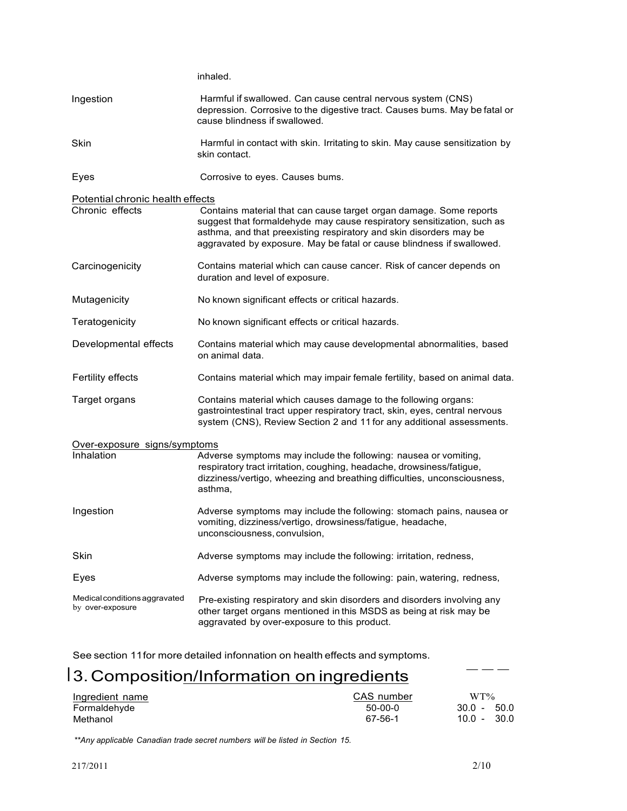|                                                   | inhaled.                                                                                                                                                                                                                                                                                    |
|---------------------------------------------------|---------------------------------------------------------------------------------------------------------------------------------------------------------------------------------------------------------------------------------------------------------------------------------------------|
| Ingestion                                         | Harmful if swallowed. Can cause central nervous system (CNS)<br>depression. Corrosive to the digestive tract. Causes bums. May be fatal or<br>cause blindness if swallowed.                                                                                                                 |
| <b>Skin</b>                                       | Harmful in contact with skin. Irritating to skin. May cause sensitization by<br>skin contact.                                                                                                                                                                                               |
| Eyes                                              | Corrosive to eyes. Causes bums.                                                                                                                                                                                                                                                             |
| Potential chronic health effects                  |                                                                                                                                                                                                                                                                                             |
| Chronic effects                                   | Contains material that can cause target organ damage. Some reports<br>suggest that formaldehyde may cause respiratory sensitization, such as<br>asthma, and that preexisting respiratory and skin disorders may be<br>aggravated by exposure. May be fatal or cause blindness if swallowed. |
| Carcinogenicity                                   | Contains material which can cause cancer. Risk of cancer depends on<br>duration and level of exposure.                                                                                                                                                                                      |
| Mutagenicity                                      | No known significant effects or critical hazards.                                                                                                                                                                                                                                           |
| Teratogenicity                                    | No known significant effects or critical hazards.                                                                                                                                                                                                                                           |
| Developmental effects                             | Contains material which may cause developmental abnormalities, based<br>on animal data.                                                                                                                                                                                                     |
| <b>Fertility effects</b>                          | Contains material which may impair female fertility, based on animal data.                                                                                                                                                                                                                  |
| Target organs                                     | Contains material which causes damage to the following organs:<br>gastrointestinal tract upper respiratory tract, skin, eyes, central nervous<br>system (CNS), Review Section 2 and 11 for any additional assessments.                                                                      |
| Over-exposure signs/symptoms                      |                                                                                                                                                                                                                                                                                             |
| Inhalation                                        | Adverse symptoms may include the following: nausea or vomiting,<br>respiratory tract irritation, coughing, headache, drowsiness/fatigue,<br>dizziness/vertigo, wheezing and breathing difficulties, unconsciousness,<br>asthma,                                                             |
| Ingestion                                         | Adverse symptoms may include the following: stomach pains, nausea or<br>vomiting, dizziness/vertigo, drowsiness/fatigue, headache,<br>unconsciousness, convulsion,                                                                                                                          |
| Skin                                              | Adverse symptoms may include the following: irritation, redness,                                                                                                                                                                                                                            |
| Eyes                                              | Adverse symptoms may include the following: pain, watering, redness,                                                                                                                                                                                                                        |
| Medical conditions aggravated<br>by over-exposure | Pre-existing respiratory and skin disorders and disorders involving any<br>other target organs mentioned in this MSDS as being at risk may be<br>aggravated by over-exposure to this product.                                                                                               |

See section 11for more detailed infonnation on health effects and symptoms.

## 13. Composition/Information on ingredients

| Ingredient name | CAS number | $WT\%$             |
|-----------------|------------|--------------------|
| Formaldehyde    | 50-00-0    | - 50.0<br>$30.0 -$ |
| Methanol        | 67-56-1    | - 30.0<br>$10.0 -$ |

*\*\*Any applicable Canadian trade secret numbers will be listed in Section 15.*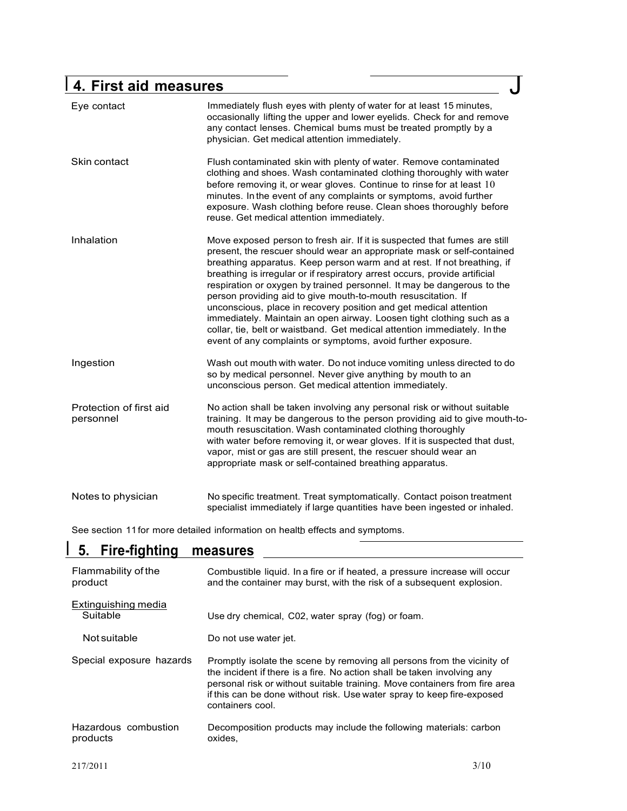## <sup>I</sup> **4. First aid measures** J

| Eye contact                          | Immediately flush eyes with plenty of water for at least 15 minutes,<br>occasionally lifting the upper and lower eyelids. Check for and remove<br>any contact lenses. Chemical bums must be treated promptly by a<br>physician. Get medical attention immediately.                                                                                                                                                                                                                                                                                                                                                                                                                                                                                 |
|--------------------------------------|----------------------------------------------------------------------------------------------------------------------------------------------------------------------------------------------------------------------------------------------------------------------------------------------------------------------------------------------------------------------------------------------------------------------------------------------------------------------------------------------------------------------------------------------------------------------------------------------------------------------------------------------------------------------------------------------------------------------------------------------------|
| Skin contact                         | Flush contaminated skin with plenty of water. Remove contaminated<br>clothing and shoes. Wash contaminated clothing thoroughly with water<br>before removing it, or wear gloves. Continue to rinse for at least 10<br>minutes. In the event of any complaints or symptoms, avoid further<br>exposure. Wash clothing before reuse. Clean shoes thoroughly before<br>reuse. Get medical attention immediately.                                                                                                                                                                                                                                                                                                                                       |
| Inhalation                           | Move exposed person to fresh air. If it is suspected that fumes are still<br>present, the rescuer should wear an appropriate mask or self-contained<br>breathing apparatus. Keep person warm and at rest. If not breathing, if<br>breathing is irregular or if respiratory arrest occurs, provide artificial<br>respiration or oxygen by trained personnel. It may be dangerous to the<br>person providing aid to give mouth-to-mouth resuscitation. If<br>unconscious, place in recovery position and get medical attention<br>immediately. Maintain an open airway. Loosen tight clothing such as a<br>collar, tie, belt or waistband. Get medical attention immediately. In the<br>event of any complaints or symptoms, avoid further exposure. |
| Ingestion                            | Wash out mouth with water. Do not induce vomiting unless directed to do<br>so by medical personnel. Never give anything by mouth to an<br>unconscious person. Get medical attention immediately.                                                                                                                                                                                                                                                                                                                                                                                                                                                                                                                                                   |
| Protection of first aid<br>personnel | No action shall be taken involving any personal risk or without suitable<br>training. It may be dangerous to the person providing aid to give mouth-to-<br>mouth resuscitation. Wash contaminated clothing thoroughly<br>with water before removing it, or wear gloves. If it is suspected that dust,<br>vapor, mist or gas are still present, the rescuer should wear an<br>appropriate mask or self-contained breathing apparatus.                                                                                                                                                                                                                                                                                                               |
| Notes to physician                   | No specific treatment. Treat symptomatically. Contact poison treatment<br>specialist immediately if large quantities have been ingested or inhaled.                                                                                                                                                                                                                                                                                                                                                                                                                                                                                                                                                                                                |

See section 11 for more detailed information on health effects and symptoms.

# **I. Fire-fighting measures**

| Flammability of the<br>product   | Combustible liquid. In a fire or if heated, a pressure increase will occur<br>and the container may burst, with the risk of a subsequent explosion.                                                                                                                                                                            |
|----------------------------------|--------------------------------------------------------------------------------------------------------------------------------------------------------------------------------------------------------------------------------------------------------------------------------------------------------------------------------|
| Extinguishing media<br>Suitable  | Use dry chemical, C02, water spray (fog) or foam.                                                                                                                                                                                                                                                                              |
| Not suitable                     | Do not use water jet.                                                                                                                                                                                                                                                                                                          |
| Special exposure hazards         | Promptly isolate the scene by removing all persons from the vicinity of<br>the incident if there is a fire. No action shall be taken involving any<br>personal risk or without suitable training. Move containers from fire area<br>if this can be done without risk. Use water spray to keep fire-exposed<br>containers cool. |
| Hazardous combustion<br>products | Decomposition products may include the following materials: carbon<br>oxides.                                                                                                                                                                                                                                                  |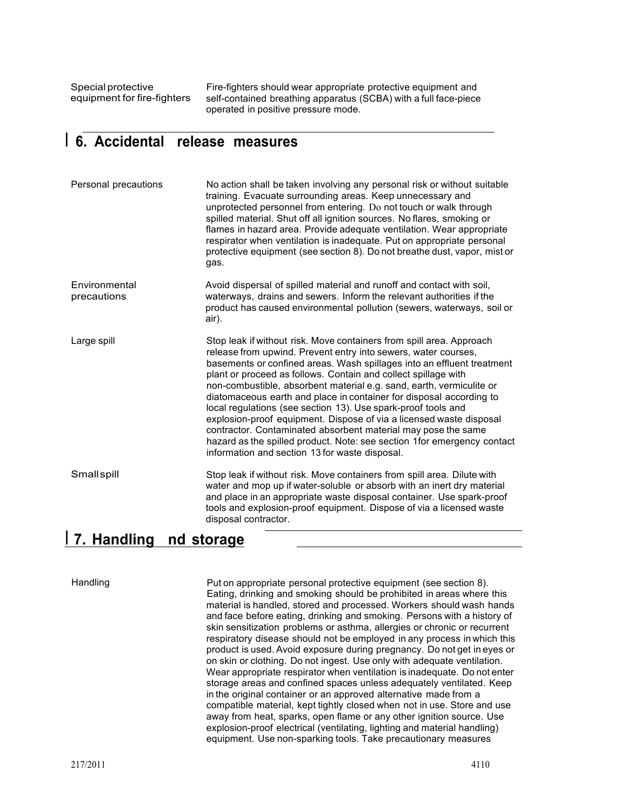Special protective equipment for fire-fighters Fire-fighters should wear appropriate protective equipment and self-contained breathing apparatus (SCBA) with a full face-piece operated in positive pressure mode.

### I **6. Accidental release measures**

| Personal precautions         | No action shall be taken involving any personal risk or without suitable<br>training. Evacuate surrounding areas. Keep unnecessary and<br>unprotected personnel from entering. Do not touch or walk through<br>spilled material. Shut off all ignition sources. No flares, smoking or<br>flames in hazard area. Provide adequate ventilation. Wear appropriate<br>respirator when ventilation is inadequate. Put on appropriate personal<br>protective equipment (see section 8). Do not breathe dust, vapor, mist or<br>gas.                                                                                                                                                                                                                                            |
|------------------------------|--------------------------------------------------------------------------------------------------------------------------------------------------------------------------------------------------------------------------------------------------------------------------------------------------------------------------------------------------------------------------------------------------------------------------------------------------------------------------------------------------------------------------------------------------------------------------------------------------------------------------------------------------------------------------------------------------------------------------------------------------------------------------|
| Environmental<br>precautions | Avoid dispersal of spilled material and runoff and contact with soil,<br>waterways, drains and sewers. Inform the relevant authorities if the<br>product has caused environmental pollution (sewers, waterways, soil or<br>air).                                                                                                                                                                                                                                                                                                                                                                                                                                                                                                                                         |
| Large spill                  | Stop leak if without risk. Move containers from spill area. Approach<br>release from upwind. Prevent entry into sewers, water courses,<br>basements or confined areas. Wash spillages into an effluent treatment<br>plant or proceed as follows. Contain and collect spillage with<br>non-combustible, absorbent material e.g. sand, earth, vermiculite or<br>diatomaceous earth and place in container for disposal according to<br>local regulations (see section 13). Use spark-proof tools and<br>explosion-proof equipment. Dispose of via a licensed waste disposal<br>contractor. Contaminated absorbent material may pose the same<br>hazard as the spilled product. Note: see section 1 for emergency contact<br>information and section 13 for waste disposal. |
| Smallspill                   | Stop leak if without risk. Move containers from spill area. Dilute with<br>water and mop up if water-soluble or absorb with an inert dry material<br>and place in an appropriate waste disposal container. Use spark-proof<br>tools and explosion-proof equipment. Dispose of via a licensed waste<br>disposal contractor.                                                                                                                                                                                                                                                                                                                                                                                                                                               |

### I **7. Handling nd storage**

Handling **Put on appropriate personal protective equipment (see section 8).** Put on appropriate personal protective equipment (see section 8). Eating, drinking and smoking should be prohibited in areas where this material is handled, stored and processed. Workers should wash hands and face before eating, drinking and smoking. Persons with a history of skin sensitization problems or asthma, allergies or chronic or recurrent respiratory disease should not be employed in any process in which this product is used. Avoid exposure during pregnancy. Do not get in eyes or on skin or clothing. Do not ingest. Use only with adequate ventilation. Wear appropriate respirator when ventilation is inadequate. Do not enter storage areas and confined spaces unless adequately ventilated. Keep in the original container or an approved alternative made from a compatible material, kept tightly closed when not in use. Store and use away from heat, sparks, open flame or any other ignition source. Use explosion-proof electrical (ventilating, lighting and material handling) equipment. Use non-sparking tools. Take precautionary measures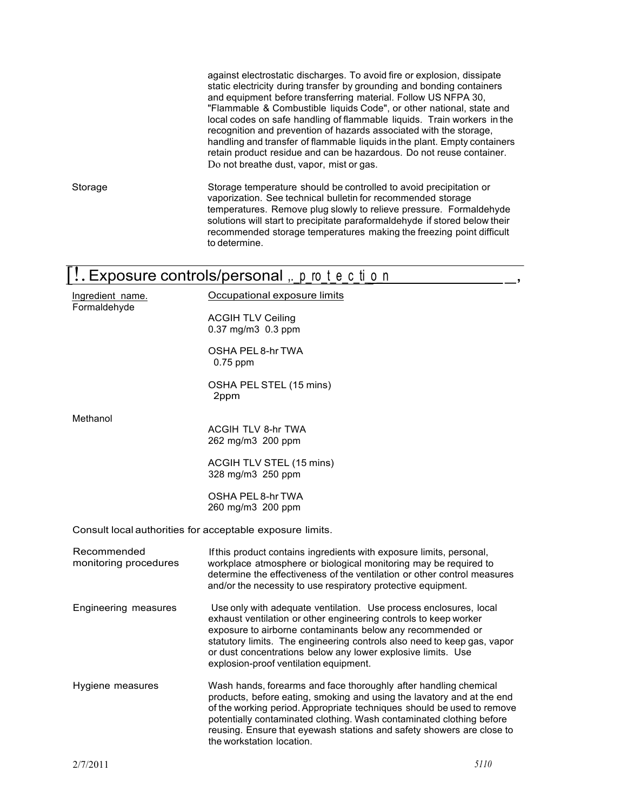against electrostatic discharges. To avoid fire or explosion, dissipate static electricity during transfer by grounding and bonding containers and equipment before transferring material. Follow US NFPA 30, "Flammable & Combustible liquids Code", or other national, state and local codes on safe handling of flammable liquids. Train workers in the recognition and prevention of hazards associated with the storage, handling and transfer of flammable liquids in the plant. Empty containers retain product residue and can be hazardous. Do not reuse container. Do not breathe dust, vapor, mist or gas. Storage Storage temperature should be controlled to avoid precipitation or vaporization. See technical bulletin for recommended storage temperatures. Remove plug slowly to relieve pressure. Formaldehyde solutions will start to precipitate paraformaldehyde if stored below their recommended storage temperatures making the freezing point difficult to determine. Exposure controls/personal  $\mu$ , p ro t e c ti o n Ingredient name. Formaldehyde Methanol Occupational exposure limits ACGIH TLV Ceiling 0.37 mg/m3 0.3 ppm OSHA PEL 8-hr TWA 0.75 ppm OSHA PEL STEL (15 mins) 2ppm ACGIH TLV 8-hr TWA 262 mg/m3 200 ppm ACGIH TLV STEL (15 mins) 328 mg/m3 250 ppm OSHA PEL 8-hr TWA 260 mg/m3 200 ppm Consult local authorities for acceptable exposure limits. Recommended monitoring procedures If this product contains ingredients with exposure limits, personal, workplace atmosphere or biological monitoring may be required to determine the effectiveness of the ventilation or other control measures

Engineering measures Use only with adequate ventilation. Use process enclosures, local exhaust ventilation or other engineering controls to keep worker exposure to airborne contaminants below any recommended or statutory limits. The engineering controls also need to keep gas, vapor or dust concentrations below any lower explosive limits. Use explosion-proof ventilation equipment.

and/or the necessity to use respiratory protective equipment.

Hygiene measures Wash hands, forearms and face thoroughly after handling chemical products, before eating, smoking and using the lavatory and at the end of the working period. Appropriate techniques should be used to remove potentially contaminated clothing. Wash contaminated clothing before reusing. Ensure that eyewash stations and safety showers are close to the workstation location.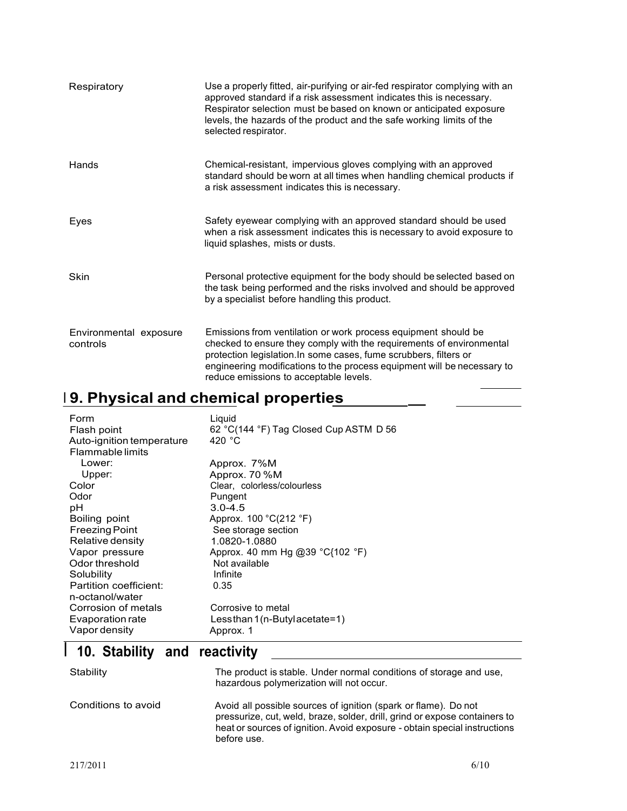| Respiratory                        | Use a properly fitted, air-purifying or air-fed respirator complying with an<br>approved standard if a risk assessment indicates this is necessary.<br>Respirator selection must be based on known or anticipated exposure<br>levels, the hazards of the product and the safe working limits of the<br>selected respirator.      |
|------------------------------------|----------------------------------------------------------------------------------------------------------------------------------------------------------------------------------------------------------------------------------------------------------------------------------------------------------------------------------|
| Hands                              | Chemical-resistant, impervious gloves complying with an approved<br>standard should be worn at all times when handling chemical products if<br>a risk assessment indicates this is necessary.                                                                                                                                    |
| Eyes                               | Safety eyewear complying with an approved standard should be used<br>when a risk assessment indicates this is necessary to avoid exposure to<br>liquid splashes, mists or dusts.                                                                                                                                                 |
| Skin                               | Personal protective equipment for the body should be selected based on<br>the task being performed and the risks involved and should be approved<br>by a specialist before handling this product.                                                                                                                                |
| Environmental exposure<br>controls | Emissions from ventilation or work process equipment should be<br>checked to ensure they comply with the requirements of environmental<br>protection legislation. In some cases, fume scrubbers, filters or<br>engineering modifications to the process equipment will be necessary to<br>reduce emissions to acceptable levels. |

### <sup>I</sup> **9. Physical and chemical properties \_**

| Form<br>Flash point<br>Auto-ignition temperature<br><b>Flammable limits</b> | Liquid<br>62 °C(144 °F) Tag Closed Cup ASTM D 56<br>420 $^{\circ}$ C |
|-----------------------------------------------------------------------------|----------------------------------------------------------------------|
| Lower:                                                                      | Approx. 7%M                                                          |
| Upper:                                                                      | Approx. 70 %M                                                        |
| Color                                                                       | Clear, colorless/colourless                                          |
| Odor                                                                        | Pungent                                                              |
| рH                                                                          | $3.0 - 4.5$                                                          |
| Boiling point                                                               | Approx. $100 °C(212 °F)$                                             |
| <b>Freezing Point</b>                                                       | See storage section                                                  |
| Relative density                                                            | 1.0820-1.0880                                                        |
| Vapor pressure                                                              | Approx. 40 mm Hg @39 $°C$ {102 °F)                                   |
| Odor threshold                                                              | Not available                                                        |
| Solubility                                                                  | Infinite                                                             |
| Partition coefficient:                                                      | 0.35                                                                 |
| n-octanol/water                                                             |                                                                      |
| Corrosion of metals                                                         | Corrosive to metal                                                   |
| Evaporation rate                                                            | Lessthan $1(n-Buty)$ acetate=1)                                      |
| Vapor density                                                               | Approx. 1                                                            |

## I **10. Stability and reactivity**

| Stability           | The product is stable. Under normal conditions of storage and use.<br>hazardous polymerization will not occur.                                                                                                                            |
|---------------------|-------------------------------------------------------------------------------------------------------------------------------------------------------------------------------------------------------------------------------------------|
| Conditions to avoid | Avoid all possible sources of ignition (spark or flame). Do not<br>pressurize, cut, weld, braze, solder, drill, grind or expose containers to<br>heat or sources of ignition. Avoid exposure - obtain special instructions<br>before use. |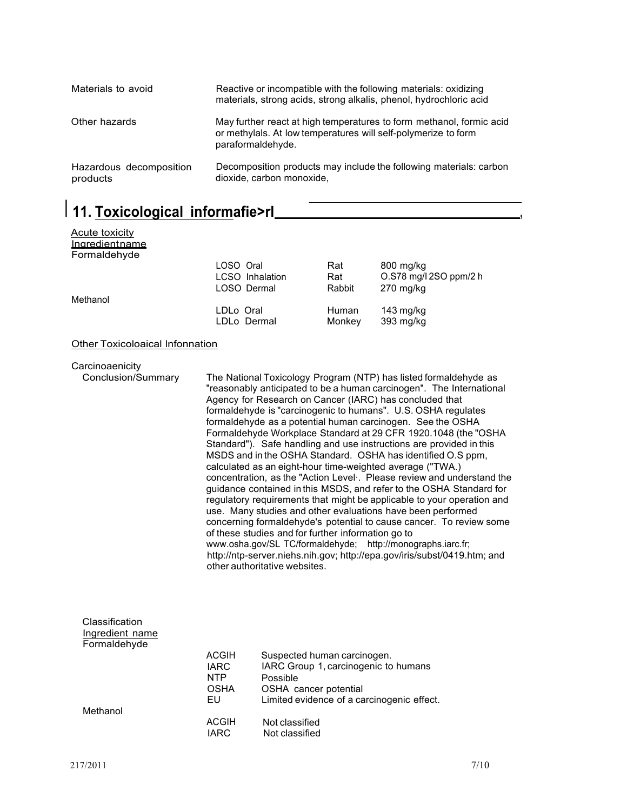| Materials to avoid                  | Reactive or incompatible with the following materials: oxidizing<br>materials, strong acids, strong alkalis, phenol, hydrochloric acid                      |
|-------------------------------------|-------------------------------------------------------------------------------------------------------------------------------------------------------------|
| Other hazards                       | May further react at high temperatures to form methanol, formic acid<br>or methylals. At low temperatures will self-polymerize to form<br>paraformaldehyde. |
| Hazardous decomposition<br>products | Decomposition products may include the following materials: carbon<br>dioxide, carbon monoxide,                                                             |

### I **11. Toxicological informafie>rl ,**

| Acute toxicity |                 |        |                        |
|----------------|-----------------|--------|------------------------|
| Ingredientname |                 |        |                        |
| Formaldehyde   |                 |        |                        |
|                | LOSO Oral       | Rat    | 800 mg/kg              |
|                | LCSO Inhalation | Rat    | O.S78 mg/l 2SO ppm/2 h |
|                | LOSO Dermal     | Rabbit | $270$ mg/kg            |
| Methanol       |                 |        |                        |
|                | LDLo Oral       | Human  | 143 $mg/kg$            |
|                | LDLo Dermal     | Monkey | 393 mg/kg              |
|                |                 |        |                        |

#### Other Toxicoloaical lnfonnation

|  | Carcinoaenicity |  |
|--|-----------------|--|

Conclusion/Summary The National Toxicology Program (NTP) has listed formaldehyde as "reasonably anticipated to be a human carcinogen". The International Agency for Research on Cancer (IARC) has concluded that formaldehyde is "carcinogenic to humans". U.S. OSHA regulates formaldehyde as a potential human carcinogen. See the OSHA Formaldehyde Workplace Standard at 29 CFR 1920.1048 (the "OSHA Standard"). Safe handling and use instructions are provided in this MSDS and in the OSHA Standard. OSHA has identified O.S ppm, calculated as an eight-hour time-weighted average ("TWA.) concentration, as the "Action Level·. Please review and understand the guidance contained in this MSDS, and refer to the OSHA Standard for regulatory requirements that might be applicable to your operation and use. Many studies and other evaluations have been performed concerning formaldehyde's potential to cause cancer. To review some of these studies and for further information go to www.osha.gov/SL TC/formaldehyde; http://monographs.iarc.fr; http://ntp-server.niehs.nih.gov; http://epa.gov/iris/subst/0419.htm; and other authoritative websites.

| Classification  |              |                                            |
|-----------------|--------------|--------------------------------------------|
| Ingredient name |              |                                            |
| Formaldehyde    |              |                                            |
|                 | <b>ACGIH</b> | Suspected human carcinogen.                |
|                 | IARC         | IARC Group 1, carcinogenic to humans       |
|                 | <b>NTP</b>   | Possible                                   |
|                 | OSHA         | OSHA cancer potential                      |
|                 | EU           | Limited evidence of a carcinogenic effect. |
| Methanol        |              |                                            |
|                 | <b>ACGIH</b> | Not classified                             |
|                 | IARC         | Not classified                             |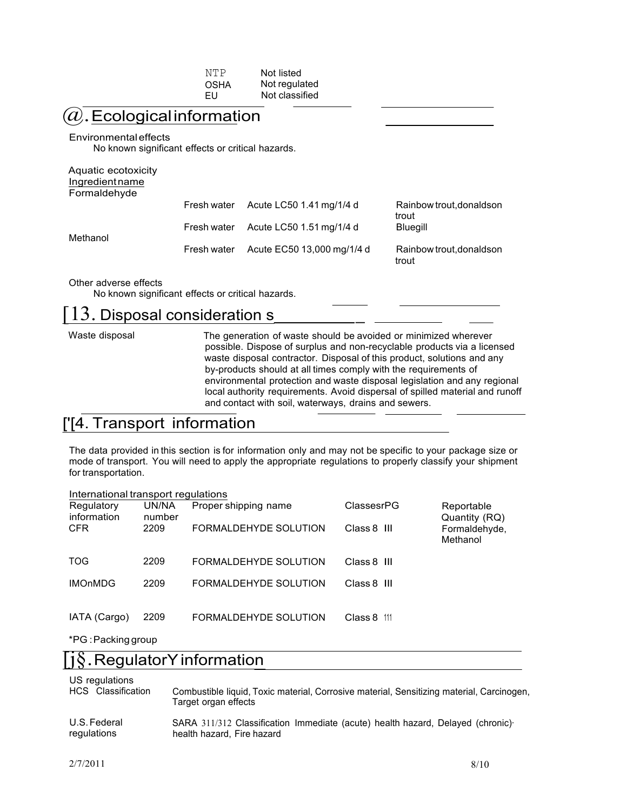| NTP  | Not listed     |
|------|----------------|
| OSHA | Not regulated  |
| EU   | Not classified |

#### $[{\overline{\it a}}]$ . Ecological information

#### Environmentaleffects

No known significant effects or critical hazards.

#### Aquatic ecotoxicity **Ingredientname** Formaldehyde

| <b>U</b> UIIII alucii yuc | Fresh water | Acute LC50 1.41 mg/1/4 d   | Rainbow trout, donaldson<br>trout |
|---------------------------|-------------|----------------------------|-----------------------------------|
| Methanol                  | Fresh water | Acute LC50 1.51 mg/1/4 d   | Bluegill                          |
|                           | Fresh water | Acute EC50 13,000 mg/1/4 d | Rainbow trout, donaldson<br>trout |

Other adverse effects

No known significant effects or critical hazards.

# No known significant effects or critical hazards.<br>
13. Disposal consideration s<br>
Waste disposal The generation of waste should be avoided or minimized wherever  $[3]$ . Disposal consideration s

possible. Dispose of surplus and non-recyclable products via a licensed waste disposal contractor. Disposal of this product, solutions and any by-products should at all times comply with the requirements of environmental protection and waste disposal legislation and any regional local authority requirements. Avoid dispersal of spilled material and runoff and contact with soil, waterways, drains and sewers.

### ['[4. Transport information

The data provided in this section is for information only and may not be specific to your package size or mode of transport. You will need to apply the appropriate regulations to properly classify your shipment for transportation.

| International transport regulations |                 |                       |                |                             |
|-------------------------------------|-----------------|-----------------------|----------------|-----------------------------|
| Regulatory<br>information           | UN/NA<br>number | Proper shipping name  | ClassesrPG     | Reportable<br>Quantity (RQ) |
| <b>CFR</b>                          | 2209            | FORMALDEHYDE SOLUTION | Class 8 III    | Formaldehyde,<br>Methanol   |
| TOG                                 | 2209            | FORMALDEHYDE SOLUTION | Class 8 III    |                             |
| <b>IMOnMDG</b>                      | 2209            | FORMALDEHYDE SOLUTION | Class 8 III    |                             |
| IATA (Cargo)                        | 2209            | FORMALDEHYDE SOLUTION | Class 8<br>111 |                             |

\*PG :Packing group

#### . RegulatorY information

US regulations

| <b>UU TUYUKUUTU</b> | Combustible liquid, Toxic material, Corrosive material, Sensitizing material, Carcinogen, |
|---------------------|-------------------------------------------------------------------------------------------|
| HCS Classification  | Target organ effects                                                                      |
| U.S. Federal        | SARA 311/312 Classification Immediate (acute) health hazard, Delayed (chronic)            |
| regulations         | health hazard. Fire hazard                                                                |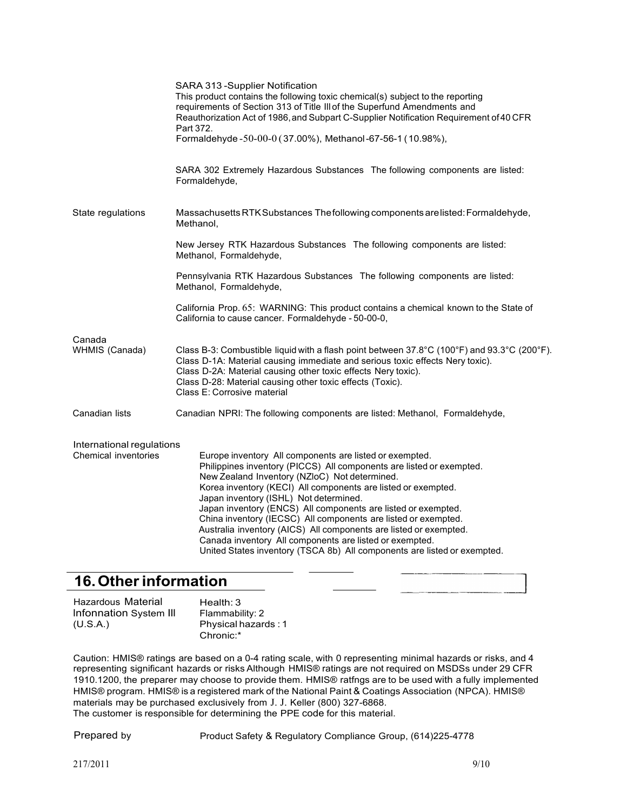|                                                   | SARA 313 - Supplier Notification<br>This product contains the following toxic chemical(s) subject to the reporting<br>requirements of Section 313 of Title III of the Superfund Amendments and<br>Reauthorization Act of 1986, and Subpart C-Supplier Notification Requirement of 40 CFR<br>Part 372.<br>Formaldehyde -50-00-0 (37.00%), Methanol-67-56-1 (10.98%),                                                                                                                                                                                                                                                                        |
|---------------------------------------------------|--------------------------------------------------------------------------------------------------------------------------------------------------------------------------------------------------------------------------------------------------------------------------------------------------------------------------------------------------------------------------------------------------------------------------------------------------------------------------------------------------------------------------------------------------------------------------------------------------------------------------------------------|
|                                                   | SARA 302 Extremely Hazardous Substances The following components are listed:<br>Formaldehyde,                                                                                                                                                                                                                                                                                                                                                                                                                                                                                                                                              |
| State regulations                                 | Massachusetts RTK Substances The following components are listed: Formaldehyde,<br>Methanol,                                                                                                                                                                                                                                                                                                                                                                                                                                                                                                                                               |
|                                                   | New Jersey RTK Hazardous Substances The following components are listed:<br>Methanol, Formaldehyde,                                                                                                                                                                                                                                                                                                                                                                                                                                                                                                                                        |
|                                                   | Pennsylvania RTK Hazardous Substances The following components are listed:<br>Methanol, Formaldehyde,                                                                                                                                                                                                                                                                                                                                                                                                                                                                                                                                      |
|                                                   | California Prop. 65: WARNING: This product contains a chemical known to the State of<br>California to cause cancer. Formaldehyde - 50-00-0,                                                                                                                                                                                                                                                                                                                                                                                                                                                                                                |
| Canada<br>WHMIS (Canada)                          | Class B-3: Combustible liquid with a flash point between $37.8^{\circ}$ C (100 $^{\circ}$ F) and $93.3^{\circ}$ C (200 $^{\circ}$ F).<br>Class D-1A: Material causing immediate and serious toxic effects Nery toxic).<br>Class D-2A: Material causing other toxic effects Nery toxic).<br>Class D-28: Material causing other toxic effects (Toxic).<br>Class E: Corrosive material                                                                                                                                                                                                                                                        |
| Canadian lists                                    | Canadian NPRI: The following components are listed: Methanol, Formaldehyde,                                                                                                                                                                                                                                                                                                                                                                                                                                                                                                                                                                |
| International regulations<br>Chemical inventories | Europe inventory All components are listed or exempted.<br>Philippines inventory (PICCS) All components are listed or exempted.<br>New Zealand Inventory (NZloC) Not determined.<br>Korea inventory (KECI) All components are listed or exempted.<br>Japan inventory (ISHL) Not determined.<br>Japan inventory (ENCS) All components are listed or exempted.<br>China inventory (IECSC) All components are listed or exempted.<br>Australia inventory (AICS) All components are listed or exempted.<br>Canada inventory All components are listed or exempted.<br>United States inventory (TSCA 8b) All components are listed or exempted. |

#### **16.Otherinformation**

| Hazardous Material     | Health: $3$         |
|------------------------|---------------------|
| Infonnation System III | Flammability: 2     |
| (U.S.A.)               | Physical hazards: 1 |
|                        | Chronic:*           |

Caution: HMIS® ratings are based on a 0-4 rating scale, with 0 representing minimal hazards or risks, and 4 representing significant hazards or risks Although HMIS® ratings are not required on MSDSs under 29 CFR 1910.1200, the preparer may choose to provide them. HMIS® ratfngs are to be used with a fully implemented HMIS® program. HMIS® is a registered mark of the National Paint & Coatings Association (NPCA). HMIS® materials may be purchased exclusively from J. J. Keller (800) 327-6868. The customer is responsible for determining the PPE code for this material.

Prepared by Product Safety & Regulatory Compliance Group, (614)225-4778